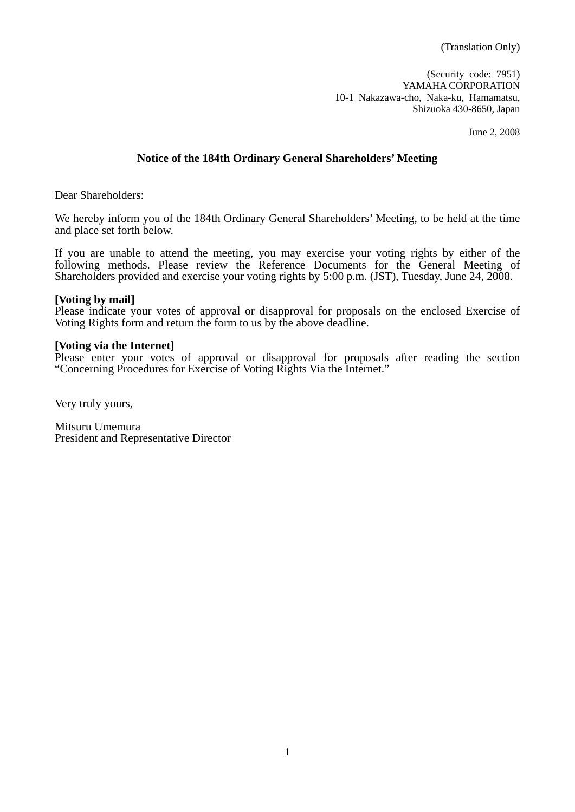(Security code: 7951) YAMAHA CORPORATION 10-1 Nakazawa-cho, Naka-ku, Hamamatsu, Shizuoka 430-8650, Japan

June 2, 2008

# **Notice of the 184th Ordinary General Shareholders' Meeting**

Dear Shareholders:

We hereby inform you of the 184th Ordinary General Shareholders' Meeting, to be held at the time and place set forth below.

If you are unable to attend the meeting, you may exercise your voting rights by either of the following methods. Please review the Reference Documents for the General Meeting of Shareholders provided and exercise your voting rights by 5:00 p.m. (JST), Tuesday, June 24, 2008.

## **[Voting by mail]**

Please indicate your votes of approval or disapproval for proposals on the enclosed Exercise of Voting Rights form and return the form to us by the above deadline.

## **[Voting via the Internet]**

Please enter your votes of approval or disapproval for proposals after reading the section "Concerning Procedures for Exercise of Voting Rights Via the Internet."

Very truly yours,

Mitsuru Umemura President and Representative Director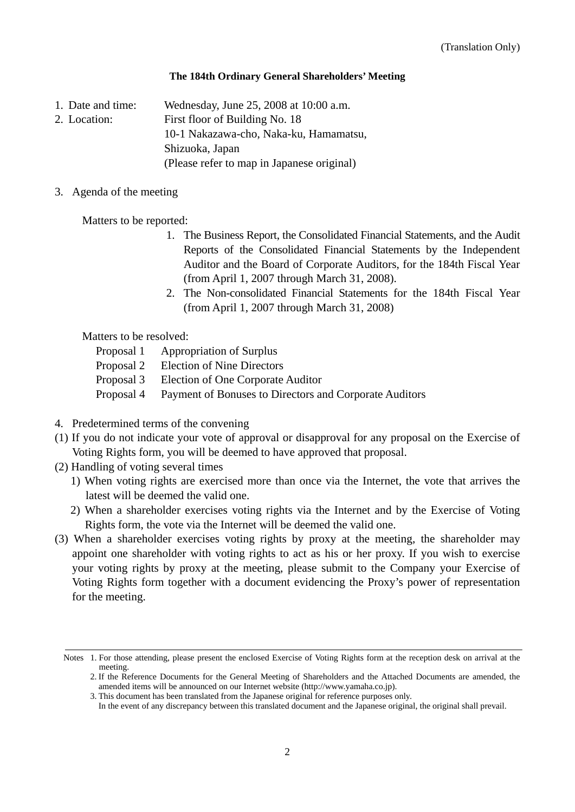## **The 184th Ordinary General Shareholders' Meeting**

1. Date and time: Wednesday, June 25, 2008 at 10:00 a.m.

2. Location: First floor of Building No. 18

10-1 Nakazawa-cho, Naka-ku, Hamamatsu,

Shizuoka, Japan

(Please refer to map in Japanese original)

3. Agenda of the meeting

Matters to be reported:

- 1. The Business Report, the Consolidated Financial Statements, and the Audit Reports of the Consolidated Financial Statements by the Independent Auditor and the Board of Corporate Auditors, for the 184th Fiscal Year (from April 1, 2007 through March 31, 2008).
- 2. The Non-consolidated Financial Statements for the 184th Fiscal Year (from April 1, 2007 through March 31, 2008)

Matters to be resolved:

- Proposal 1 Appropriation of Surplus
- Proposal 2 Election of Nine Directors
- Proposal 3 Election of One Corporate Auditor
- Proposal 4 Payment of Bonuses to Directors and Corporate Auditors
- 4. Predetermined terms of the convening
- (1) If you do not indicate your vote of approval or disapproval for any proposal on the Exercise of Voting Rights form, you will be deemed to have approved that proposal.
- (2) Handling of voting several times
	- 1) When voting rights are exercised more than once via the Internet, the vote that arrives the latest will be deemed the valid one.
	- 2) When a shareholder exercises voting rights via the Internet and by the Exercise of Voting Rights form, the vote via the Internet will be deemed the valid one.
- (3) When a shareholder exercises voting rights by proxy at the meeting, the shareholder may appoint one shareholder with voting rights to act as his or her proxy. If you wish to exercise your voting rights by proxy at the meeting, please submit to the Company your Exercise of Voting Rights form together with a document evidencing the Proxy's power of representation for the meeting.

Notes 1. For those attending, please present the enclosed Exercise of Voting Rights form at the reception desk on arrival at the meeting.

<sup>2.</sup> If the Reference Documents for the General Meeting of Shareholders and the Attached Documents are amended, the amended items will be announced on our Internet website (http://www.yamaha.co.jp).

<sup>3.</sup> This document has been translated from the Japanese original for reference purposes only.

In the event of any discrepancy between this translated document and the Japanese original, the original shall prevail.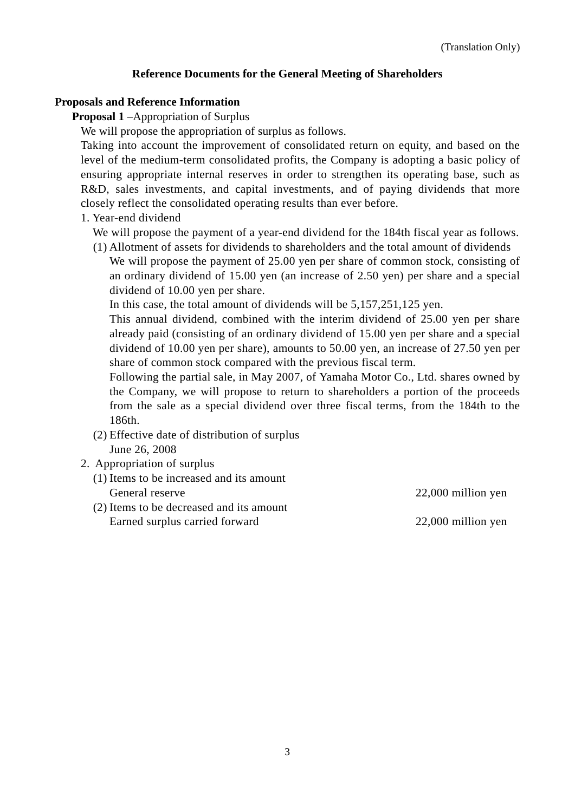# **Reference Documents for the General Meeting of Shareholders**

## **Proposals and Reference Information**

**Proposal 1** –Appropriation of Surplus

We will propose the appropriation of surplus as follows.

Taking into account the improvement of consolidated return on equity, and based on the level of the medium-term consolidated profits, the Company is adopting a basic policy of ensuring appropriate internal reserves in order to strengthen its operating base, such as R&D, sales investments, and capital investments, and of paying dividends that more closely reflect the consolidated operating results than ever before.

1. Year-end dividend

We will propose the payment of a year-end dividend for the 184th fiscal year as follows.

(1) Allotment of assets for dividends to shareholders and the total amount of dividends

We will propose the payment of 25.00 yen per share of common stock, consisting of an ordinary dividend of 15.00 yen (an increase of 2.50 yen) per share and a special dividend of 10.00 yen per share.

In this case, the total amount of dividends will be 5,157,251,125 yen.

This annual dividend, combined with the interim dividend of 25.00 yen per share already paid (consisting of an ordinary dividend of 15.00 yen per share and a special dividend of 10.00 yen per share), amounts to 50.00 yen, an increase of 27.50 yen per share of common stock compared with the previous fiscal term.

Following the partial sale, in May 2007, of Yamaha Motor Co., Ltd. shares owned by the Company, we will propose to return to shareholders a portion of the proceeds from the sale as a special dividend over three fiscal terms, from the 184th to the 186th.

- (2) Effective date of distribution of surplus June 26, 2008
- 2. Appropriation of surplus
	- (1) Items to be increased and its amount General reserve 22,000 million yen
	- (2) Items to be decreased and its amount Earned surplus carried forward 22,000 million yen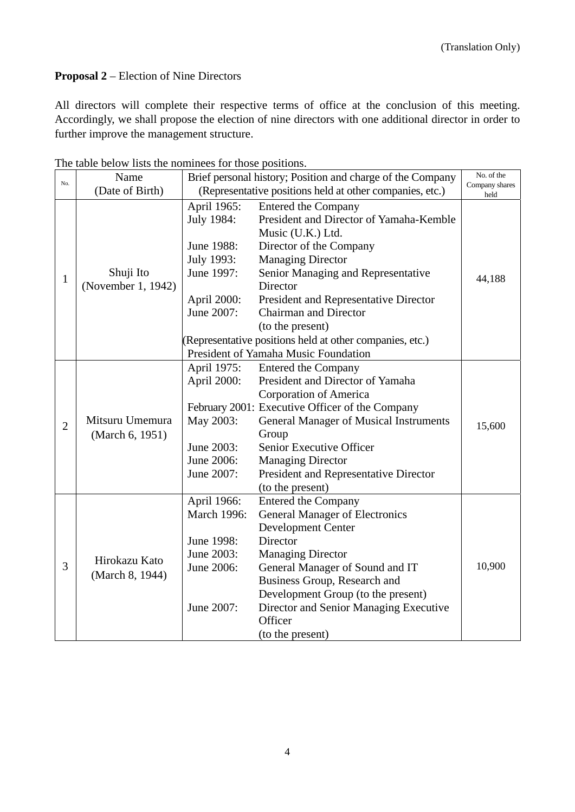# **Proposal 2** – Election of Nine Directors

All directors will complete their respective terms of office at the conclusion of this meeting. Accordingly, we shall propose the election of nine directors with one additional director in order to further improve the management structure.

| No.            | Name                               | Brief personal history; Position and charge of the Company<br>(Representative positions held at other companies, etc.) |                                                          | No. of the             |
|----------------|------------------------------------|------------------------------------------------------------------------------------------------------------------------|----------------------------------------------------------|------------------------|
|                | (Date of Birth)                    |                                                                                                                        |                                                          | Company shares<br>held |
|                |                                    | April 1965:                                                                                                            | <b>Entered the Company</b>                               |                        |
|                |                                    | July 1984:                                                                                                             | President and Director of Yamaha-Kemble                  |                        |
|                |                                    |                                                                                                                        | Music (U.K.) Ltd.                                        |                        |
|                |                                    | June 1988:                                                                                                             | Director of the Company                                  |                        |
|                |                                    | July 1993:                                                                                                             | <b>Managing Director</b>                                 |                        |
| $\mathbf{1}$   | Shuji Ito<br>(November 1, 1942)    | June 1997:                                                                                                             | Senior Managing and Representative                       | 44,188                 |
|                |                                    |                                                                                                                        | Director                                                 |                        |
|                |                                    | April 2000:                                                                                                            | President and Representative Director                    |                        |
|                |                                    | June 2007:                                                                                                             | <b>Chairman and Director</b>                             |                        |
|                |                                    |                                                                                                                        | (to the present)                                         |                        |
|                |                                    |                                                                                                                        | (Representative positions held at other companies, etc.) |                        |
|                |                                    | President of Yamaha Music Foundation                                                                                   |                                                          |                        |
|                |                                    | April 1975:                                                                                                            | <b>Entered the Company</b>                               |                        |
|                | Mitsuru Umemura<br>(March 6, 1951) | April 2000:                                                                                                            | President and Director of Yamaha                         |                        |
|                |                                    |                                                                                                                        | Corporation of America                                   |                        |
| $\overline{2}$ |                                    |                                                                                                                        | February 2001: Executive Officer of the Company          |                        |
|                |                                    | May 2003:                                                                                                              | <b>General Manager of Musical Instruments</b>            | 15,600                 |
|                |                                    |                                                                                                                        | Group                                                    |                        |
|                |                                    | June 2003:                                                                                                             | Senior Executive Officer                                 |                        |
|                |                                    | June 2006:                                                                                                             | <b>Managing Director</b>                                 |                        |
|                |                                    | June 2007:                                                                                                             | President and Representative Director                    |                        |
|                |                                    |                                                                                                                        | (to the present)                                         |                        |
|                | Hirokazu Kato<br>(March 8, 1944)   | April 1966:                                                                                                            | <b>Entered the Company</b>                               |                        |
|                |                                    | March 1996:                                                                                                            | <b>General Manager of Electronics</b>                    |                        |
|                |                                    |                                                                                                                        | <b>Development Center</b>                                |                        |
|                |                                    | June 1998:                                                                                                             | Director                                                 |                        |
|                |                                    | June 2003:                                                                                                             | <b>Managing Director</b>                                 |                        |
| 3              |                                    | June 2006:                                                                                                             | General Manager of Sound and IT                          | 10,900                 |
|                |                                    |                                                                                                                        | Business Group, Research and                             |                        |
|                |                                    |                                                                                                                        | Development Group (to the present)                       |                        |
|                |                                    | June 2007:                                                                                                             | Director and Senior Managing Executive                   |                        |
|                |                                    |                                                                                                                        | Officer                                                  |                        |
|                |                                    |                                                                                                                        | (to the present)                                         |                        |

The table below lists the nominees for those positions.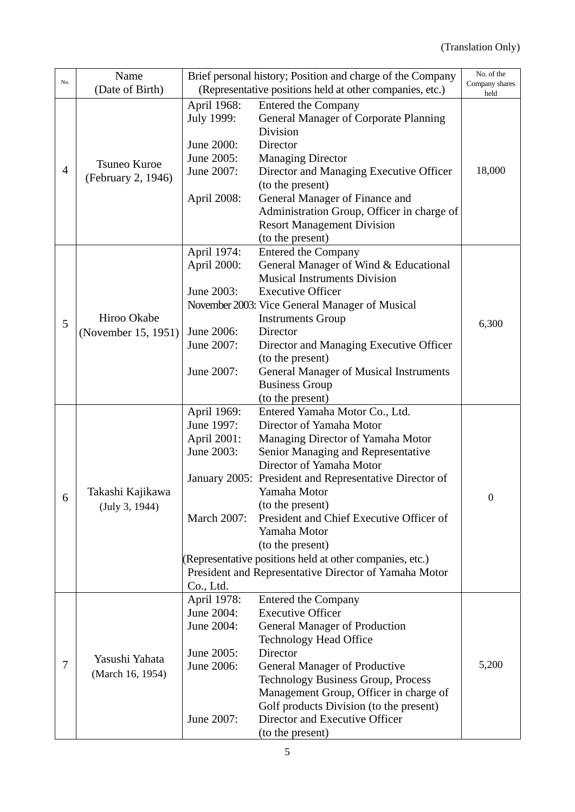|     | Name                               | Brief personal history; Position and charge of the Company |                                                                                   | No. of the             |
|-----|------------------------------------|------------------------------------------------------------|-----------------------------------------------------------------------------------|------------------------|
| No. | (Date of Birth)                    | (Representative positions held at other companies, etc.)   |                                                                                   | Company shares<br>held |
|     |                                    | April 1968:                                                | <b>Entered the Company</b>                                                        |                        |
|     |                                    | July 1999:                                                 | <b>General Manager of Corporate Planning</b>                                      |                        |
|     |                                    |                                                            | Division                                                                          |                        |
|     |                                    | June 2000:                                                 | Director                                                                          |                        |
|     | Tsuneo Kuroe                       | June 2005:                                                 | <b>Managing Director</b>                                                          |                        |
| 4   | (February 2, 1946)                 | June 2007:                                                 | Director and Managing Executive Officer                                           | 18,000                 |
|     |                                    |                                                            | (to the present)                                                                  |                        |
|     |                                    | April 2008:                                                | General Manager of Finance and                                                    |                        |
|     |                                    |                                                            | Administration Group, Officer in charge of                                        |                        |
|     |                                    |                                                            | <b>Resort Management Division</b>                                                 |                        |
|     |                                    |                                                            | (to the present)                                                                  |                        |
|     |                                    | April 1974:                                                | <b>Entered the Company</b>                                                        |                        |
|     |                                    | April 2000:                                                | General Manager of Wind & Educational                                             |                        |
|     |                                    |                                                            | <b>Musical Instruments Division</b>                                               |                        |
|     |                                    | June 2003:                                                 | <b>Executive Officer</b>                                                          |                        |
|     |                                    |                                                            | November 2003: Vice General Manager of Musical                                    |                        |
| 5   | Hiroo Okabe                        |                                                            | <b>Instruments Group</b>                                                          | 6,300                  |
|     | (November 15, 1951)                | June 2006:                                                 | Director                                                                          |                        |
|     |                                    | June 2007:                                                 | Director and Managing Executive Officer                                           |                        |
|     |                                    | June 2007:                                                 | (to the present)                                                                  |                        |
|     |                                    |                                                            | <b>General Manager of Musical Instruments</b>                                     |                        |
|     |                                    |                                                            | <b>Business Group</b><br>(to the present)                                         |                        |
|     |                                    | April 1969:                                                | Entered Yamaha Motor Co., Ltd.                                                    |                        |
|     |                                    | June 1997:                                                 | Director of Yamaha Motor                                                          |                        |
|     |                                    | April 2001:                                                | Managing Director of Yamaha Motor                                                 |                        |
|     |                                    | June 2003:                                                 | Senior Managing and Representative                                                |                        |
|     |                                    |                                                            | Director of Yamaha Motor                                                          |                        |
|     |                                    |                                                            | January 2005: President and Representative Director of                            |                        |
| 6   | Takashi Kajikawa                   |                                                            | Yamaha Motor                                                                      | $\boldsymbol{0}$       |
|     | (July 3, 1944)                     |                                                            | (to the present)                                                                  |                        |
|     |                                    | <b>March 2007:</b>                                         | President and Chief Executive Officer of                                          |                        |
|     |                                    |                                                            | Yamaha Motor                                                                      |                        |
|     |                                    |                                                            | (to the present)                                                                  |                        |
|     |                                    |                                                            | (Representative positions held at other companies, etc.)                          |                        |
|     |                                    |                                                            | President and Representative Director of Yamaha Motor                             |                        |
|     |                                    | Co., Ltd.                                                  |                                                                                   |                        |
|     | Yasushi Yahata<br>(March 16, 1954) | April 1978:                                                | Entered the Company                                                               |                        |
|     |                                    | June 2004:                                                 | <b>Executive Officer</b>                                                          |                        |
| 7   |                                    | June 2004:                                                 | <b>General Manager of Production</b>                                              |                        |
|     |                                    | June 2005:                                                 | <b>Technology Head Office</b><br>Director                                         |                        |
|     |                                    | June 2006:                                                 |                                                                                   | 5,200                  |
|     |                                    |                                                            | <b>General Manager of Productive</b><br><b>Technology Business Group, Process</b> |                        |
|     |                                    |                                                            | Management Group, Officer in charge of                                            |                        |
|     |                                    |                                                            | Golf products Division (to the present)                                           |                        |
|     |                                    | June 2007:                                                 | Director and Executive Officer                                                    |                        |
|     |                                    |                                                            | (to the present)                                                                  |                        |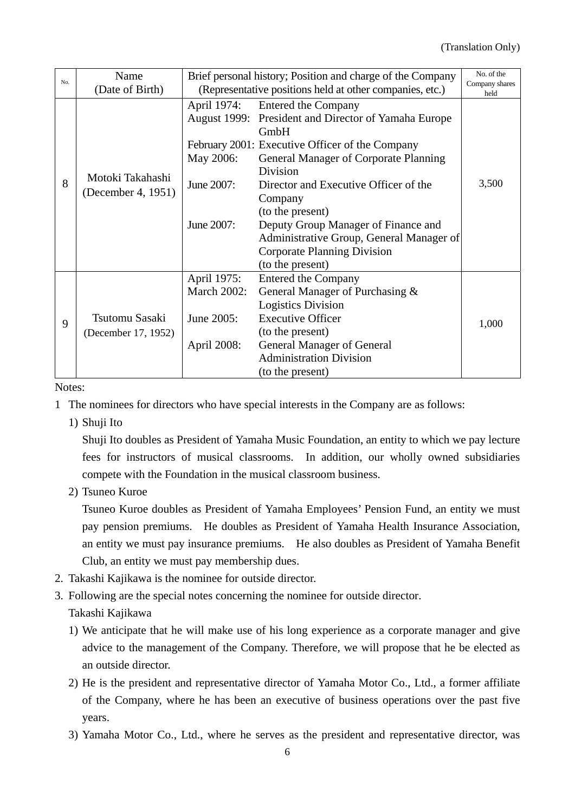| No. | Name                                   | Brief personal history; Position and charge of the Company |                                                      | No. of the             |
|-----|----------------------------------------|------------------------------------------------------------|------------------------------------------------------|------------------------|
|     | (Date of Birth)                        | (Representative positions held at other companies, etc.)   |                                                      | Company shares<br>held |
|     | Motoki Takahashi<br>(December 4, 1951) | April 1974:                                                | Entered the Company                                  |                        |
|     |                                        |                                                            | August 1999: President and Director of Yamaha Europe |                        |
|     |                                        |                                                            | GmbH                                                 |                        |
|     |                                        |                                                            | February 2001: Executive Officer of the Company      |                        |
|     |                                        | May 2006:                                                  | General Manager of Corporate Planning                |                        |
|     |                                        |                                                            | <b>Division</b>                                      |                        |
| 8   |                                        | June 2007:                                                 | Director and Executive Officer of the                | 3,500                  |
|     |                                        |                                                            | Company                                              |                        |
|     |                                        |                                                            | (to the present)                                     |                        |
|     |                                        | June 2007:                                                 | Deputy Group Manager of Finance and                  |                        |
|     |                                        |                                                            | Administrative Group, General Manager of             |                        |
|     |                                        |                                                            | Corporate Planning Division                          |                        |
|     |                                        |                                                            | (to the present)                                     |                        |
|     |                                        | April 1975:                                                | <b>Entered the Company</b>                           |                        |
|     |                                        | <b>March 2002:</b>                                         | General Manager of Purchasing &                      |                        |
| 9   |                                        |                                                            | <b>Logistics Division</b>                            |                        |
|     | Tsutomu Sasaki                         | June 2005:                                                 | <b>Executive Officer</b>                             | 1,000                  |
|     | (December 17, 1952)                    |                                                            | (to the present)                                     |                        |
|     |                                        | April 2008:                                                | <b>General Manager of General</b>                    |                        |
|     |                                        |                                                            | <b>Administration Division</b>                       |                        |
|     |                                        |                                                            | (to the present)                                     |                        |

Notes:

- 1 The nominees for directors who have special interests in the Company are as follows:
	- 1) Shuji Ito

Shuji Ito doubles as President of Yamaha Music Foundation, an entity to which we pay lecture fees for instructors of musical classrooms. In addition, our wholly owned subsidiaries compete with the Foundation in the musical classroom business.

2) Tsuneo Kuroe

Tsuneo Kuroe doubles as President of Yamaha Employees' Pension Fund, an entity we must pay pension premiums. He doubles as President of Yamaha Health Insurance Association, an entity we must pay insurance premiums. He also doubles as President of Yamaha Benefit Club, an entity we must pay membership dues.

- 2. Takashi Kajikawa is the nominee for outside director.
- 3. Following are the special notes concerning the nominee for outside director. Takashi Kajikawa
	-
	- 1) We anticipate that he will make use of his long experience as a corporate manager and give advice to the management of the Company. Therefore, we will propose that he be elected as an outside director.
	- 2) He is the president and representative director of Yamaha Motor Co., Ltd., a former affiliate of the Company, where he has been an executive of business operations over the past five years.
	- 3) Yamaha Motor Co., Ltd., where he serves as the president and representative director, was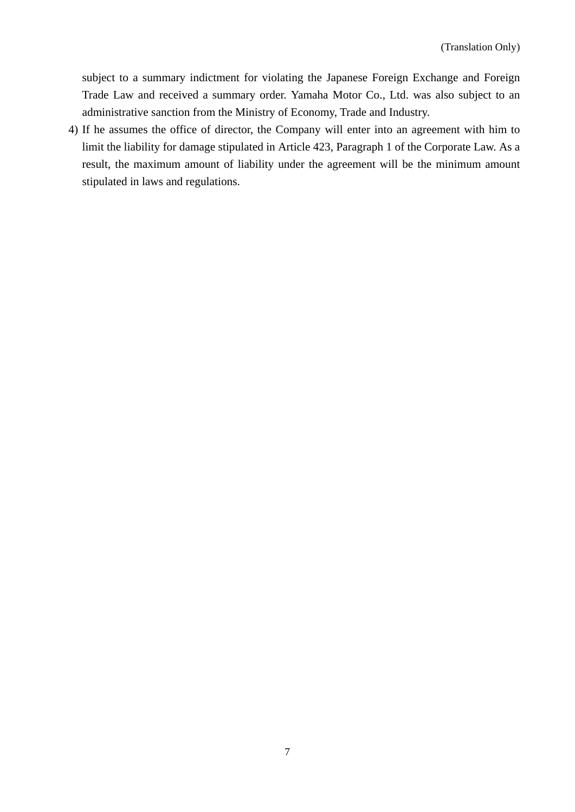subject to a summary indictment for violating the Japanese Foreign Exchange and Foreign Trade Law and received a summary order. Yamaha Motor Co., Ltd. was also subject to an administrative sanction from the Ministry of Economy, Trade and Industry.

4) If he assumes the office of director, the Company will enter into an agreement with him to limit the liability for damage stipulated in Article 423, Paragraph 1 of the Corporate Law. As a result, the maximum amount of liability under the agreement will be the minimum amount stipulated in laws and regulations.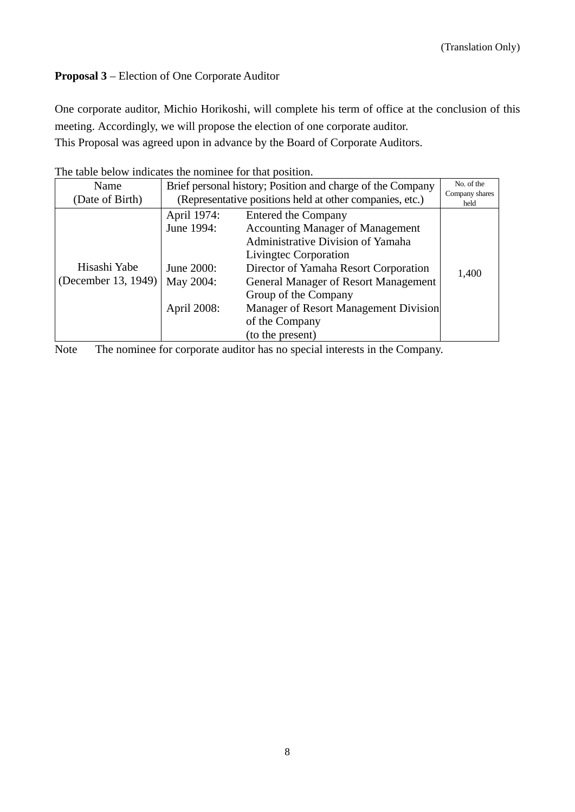# **Proposal 3** – Election of One Corporate Auditor

One corporate auditor, Michio Horikoshi, will complete his term of office at the conclusion of this meeting. Accordingly, we will propose the election of one corporate auditor.

This Proposal was agreed upon in advance by the Board of Corporate Auditors.

| Name                | Brief personal history; Position and charge of the Company |                                             | No. of the             |
|---------------------|------------------------------------------------------------|---------------------------------------------|------------------------|
| (Date of Birth)     | (Representative positions held at other companies, etc.)   |                                             | Company shares<br>held |
|                     | April 1974:                                                | <b>Entered the Company</b>                  |                        |
|                     | June 1994:                                                 | <b>Accounting Manager of Management</b>     |                        |
|                     |                                                            | Administrative Division of Yamaha           |                        |
|                     |                                                            | Livingtec Corporation                       |                        |
| Hisashi Yabe        | June 2000:                                                 | Director of Yamaha Resort Corporation       | 1,400                  |
| (December 13, 1949) | May 2004:                                                  | <b>General Manager of Resort Management</b> |                        |
|                     |                                                            | Group of the Company                        |                        |
|                     | April 2008:                                                | Manager of Resort Management Division       |                        |
|                     |                                                            | of the Company                              |                        |
|                     |                                                            | (to the present)                            |                        |

The table below indicates the nominee for that position.

Note The nominee for corporate auditor has no special interests in the Company.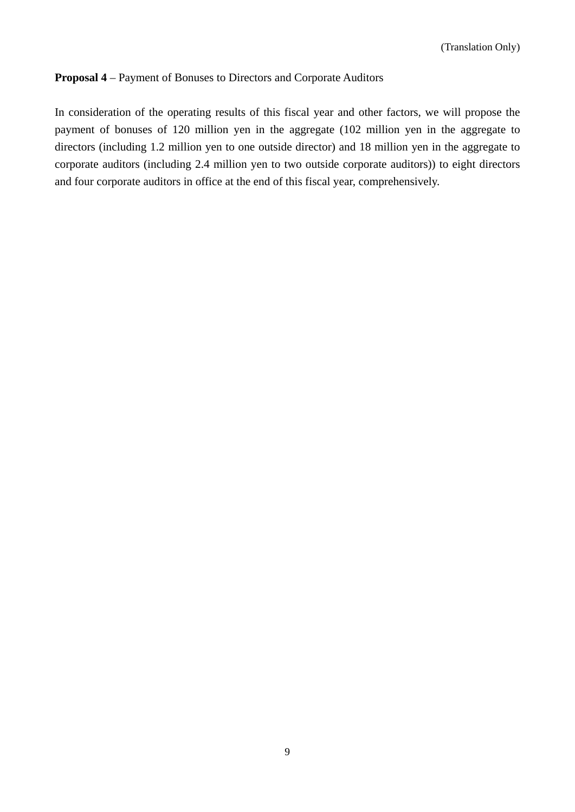# **Proposal 4** – Payment of Bonuses to Directors and Corporate Auditors

In consideration of the operating results of this fiscal year and other factors, we will propose the payment of bonuses of 120 million yen in the aggregate (102 million yen in the aggregate to directors (including 1.2 million yen to one outside director) and 18 million yen in the aggregate to corporate auditors (including 2.4 million yen to two outside corporate auditors)) to eight directors and four corporate auditors in office at the end of this fiscal year, comprehensively.